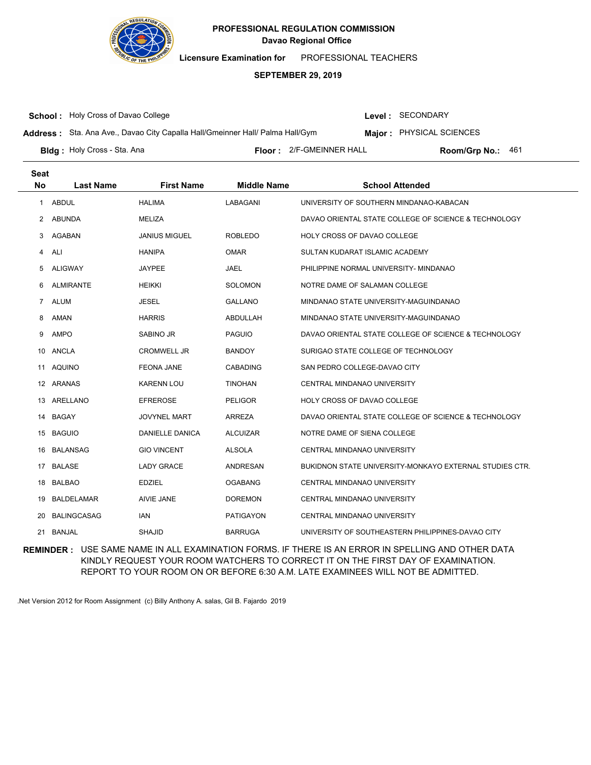

**Licensure Examination for**  PROFESSIONAL TEACHERS

### **SEPTEMBER 29, 2019**

**School :** Holy Cross of Davao College

Level : SECONDARY

**Address :** Sta. Ana Ave., Davao City Capalla Hall/Gmeinner Hall/ Palma Hall/Gym

**Major : PHYSICAL SCIENCES** 

Bldg: Holy Cross - Sta. Ana

**Floor :** 2/F-GMEINNER HALL

Room/Grp No.: 461

| <b>Seat</b><br><b>No</b> | <b>Last Name</b>   | <b>First Name</b>    | <b>Middle Name</b> | <b>School Attended</b>                                  |
|--------------------------|--------------------|----------------------|--------------------|---------------------------------------------------------|
| $\mathbf{1}$             | <b>ABDUL</b>       | <b>HALIMA</b>        | LABAGANI           | UNIVERSITY OF SOUTHERN MINDANAO-KABACAN                 |
| 2                        | <b>ABUNDA</b>      | MELIZA               |                    | DAVAO ORIENTAL STATE COLLEGE OF SCIENCE & TECHNOLOGY    |
| 3                        | AGABAN             | <b>JANIUS MIGUEL</b> | <b>ROBLEDO</b>     | HOLY CROSS OF DAVAO COLLEGE                             |
| 4                        | ALI                | <b>HANIPA</b>        | <b>OMAR</b>        | SULTAN KUDARAT ISLAMIC ACADEMY                          |
| 5                        | <b>ALIGWAY</b>     | <b>JAYPEE</b>        | JAEL               | PHILIPPINE NORMAL UNIVERSITY- MINDANAO                  |
| 6                        | <b>ALMIRANTE</b>   | <b>HEIKKI</b>        | <b>SOLOMON</b>     | NOTRE DAME OF SALAMAN COLLEGE                           |
| $\overline{7}$           | <b>ALUM</b>        | <b>JESEL</b>         | <b>GALLANO</b>     | MINDANAO STATE UNIVERSITY-MAGUINDANAO                   |
| 8                        | AMAN               | <b>HARRIS</b>        | ABDULLAH           | MINDANAO STATE UNIVERSITY-MAGUINDANAO                   |
| 9                        | <b>AMPO</b>        | <b>SABINO JR</b>     | <b>PAGUIO</b>      | DAVAO ORIENTAL STATE COLLEGE OF SCIENCE & TECHNOLOGY    |
| 10                       | ANCLA              | <b>CROMWELL JR</b>   | <b>BANDOY</b>      | SURIGAO STATE COLLEGE OF TECHNOLOGY                     |
| 11                       | <b>AQUINO</b>      | <b>FEONA JANE</b>    | CABADING           | SAN PEDRO COLLEGE-DAVAO CITY                            |
|                          | 12 ARANAS          | <b>KARENN LOU</b>    | <b>TINOHAN</b>     | CENTRAL MINDANAO UNIVERSITY                             |
| 13                       | ARELLANO           | <b>EFREROSE</b>      | <b>PELIGOR</b>     | HOLY CROSS OF DAVAO COLLEGE                             |
|                          | 14 BAGAY           | <b>JOVYNEL MART</b>  | <b>ARREZA</b>      | DAVAO ORIENTAL STATE COLLEGE OF SCIENCE & TECHNOLOGY    |
| 15                       | <b>BAGUIO</b>      | DANIELLE DANICA      | <b>ALCUIZAR</b>    | NOTRE DAME OF SIENA COLLEGE                             |
| 16                       | <b>BALANSAG</b>    | <b>GIO VINCENT</b>   | <b>ALSOLA</b>      | CENTRAL MINDANAO UNIVERSITY                             |
| 17                       | <b>BALASE</b>      | <b>LADY GRACE</b>    | ANDRESAN           | BUKIDNON STATE UNIVERSITY-MONKAYO EXTERNAL STUDIES CTR. |
| 18                       | BALBAO             | <b>EDZIEL</b>        | <b>OGABANG</b>     | CENTRAL MINDANAO UNIVERSITY                             |
| 19                       | <b>BALDELAMAR</b>  | AIVIE JANE           | <b>DOREMON</b>     | CENTRAL MINDANAO UNIVERSITY                             |
| 20                       | <b>BALINGCASAG</b> | <b>IAN</b>           | PATIGAYON          | CENTRAL MINDANAO UNIVERSITY                             |
| 21                       | <b>BANJAL</b>      | <b>SHAJID</b>        | <b>BARRUGA</b>     | UNIVERSITY OF SOUTHEASTERN PHILIPPINES-DAVAO CITY       |

**REMINDER :** USE SAME NAME IN ALL EXAMINATION FORMS. IF THERE IS AN ERROR IN SPELLING AND OTHER DATA KINDLY REQUEST YOUR ROOM WATCHERS TO CORRECT IT ON THE FIRST DAY OF EXAMINATION. REPORT TO YOUR ROOM ON OR BEFORE 6:30 A.M. LATE EXAMINEES WILL NOT BE ADMITTED.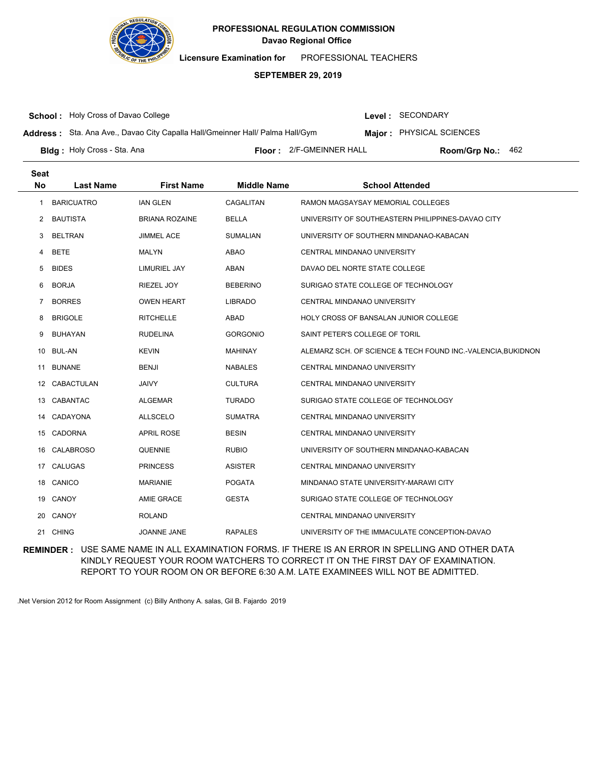

**Licensure Examination for**  PROFESSIONAL TEACHERS

### **SEPTEMBER 29, 2019**

**School :** Holy Cross of Davao College

Bldg: Holy Cross - Sta. Ana

Level : SECONDARY

**Address :** Sta. Ana Ave., Davao City Capalla Hall/Gmeinner Hall/ Palma Hall/Gym

**Major : PHYSICAL SCIENCES** 

**Floor :** 2/F-GMEINNER HALL

Room/Grp No.: 462

| <b>Seat</b><br><b>No</b> | <b>Last Name</b>  | <b>First Name</b>     | <b>Middle Name</b> | <b>School Attended</b>                                      |
|--------------------------|-------------------|-----------------------|--------------------|-------------------------------------------------------------|
| 1                        | <b>BARICUATRO</b> | <b>IAN GLEN</b>       | CAGALITAN          | RAMON MAGSAYSAY MEMORIAL COLLEGES                           |
| $\mathbf{2}^{\prime}$    | <b>BAUTISTA</b>   | <b>BRIANA ROZAINE</b> | <b>BELLA</b>       | UNIVERSITY OF SOUTHEASTERN PHILIPPINES-DAVAO CITY           |
| 3                        | <b>BELTRAN</b>    | <b>JIMMEL ACE</b>     | <b>SUMALIAN</b>    | UNIVERSITY OF SOUTHERN MINDANAO-KABACAN                     |
| 4                        | <b>BETE</b>       | <b>MALYN</b>          | <b>ABAO</b>        | CENTRAL MINDANAO UNIVERSITY                                 |
| 5                        | <b>BIDES</b>      | <b>LIMURIEL JAY</b>   | <b>ABAN</b>        | DAVAO DEL NORTE STATE COLLEGE                               |
| 6                        | <b>BORJA</b>      | RIEZEL JOY            | <b>BEBERINO</b>    | SURIGAO STATE COLLEGE OF TECHNOLOGY                         |
| 7                        | <b>BORRES</b>     | <b>OWEN HEART</b>     | <b>LIBRADO</b>     | CENTRAL MINDANAO UNIVERSITY                                 |
| 8                        | <b>BRIGOLE</b>    | <b>RITCHELLE</b>      | ABAD               | <b>HOLY CROSS OF BANSALAN JUNIOR COLLEGE</b>                |
| 9                        | <b>BUHAYAN</b>    | <b>RUDELINA</b>       | <b>GORGONIO</b>    | SAINT PETER'S COLLEGE OF TORIL                              |
| 10                       | BUL-AN            | <b>KEVIN</b>          | <b>MAHINAY</b>     | ALEMARZ SCH. OF SCIENCE & TECH FOUND INC.-VALENCIA,BUKIDNON |
| 11                       | <b>BUNANE</b>     | <b>BENJI</b>          | <b>NABALES</b>     | <b>CENTRAL MINDANAO UNIVERSITY</b>                          |
| 12                       | <b>CABACTULAN</b> | <b>JAIVY</b>          | <b>CULTURA</b>     | CENTRAL MINDANAO UNIVERSITY                                 |
| 13                       | CABANTAC          | <b>ALGEMAR</b>        | <b>TURADO</b>      | SURIGAO STATE COLLEGE OF TECHNOLOGY                         |
| 14                       | CADAYONA          | <b>ALLSCELO</b>       | <b>SUMATRA</b>     | <b>CENTRAL MINDANAO UNIVERSITY</b>                          |
| 15                       | <b>CADORNA</b>    | <b>APRIL ROSE</b>     | <b>BESIN</b>       | CENTRAL MINDANAO UNIVERSITY                                 |
| 16                       | <b>CALABROSO</b>  | QUENNIE               | <b>RUBIO</b>       | UNIVERSITY OF SOUTHERN MINDANAO-KABACAN                     |
| 17                       | CALUGAS           | <b>PRINCESS</b>       | <b>ASISTER</b>     | <b>CENTRAL MINDANAO UNIVERSITY</b>                          |
| 18                       | CANICO            | <b>MARIANIE</b>       | <b>POGATA</b>      | MINDANAO STATE UNIVERSITY-MARAWI CITY                       |
| 19                       | CANOY             | AMIE GRACE            | <b>GESTA</b>       | SURIGAO STATE COLLEGE OF TECHNOLOGY                         |
| 20                       | CANOY             | <b>ROLAND</b>         |                    | CENTRAL MINDANAO UNIVERSITY                                 |
| 21                       | <b>CHING</b>      | <b>JOANNE JANE</b>    | <b>RAPALES</b>     | UNIVERSITY OF THE IMMACULATE CONCEPTION-DAVAO               |

**REMINDER :** USE SAME NAME IN ALL EXAMINATION FORMS. IF THERE IS AN ERROR IN SPELLING AND OTHER DATA KINDLY REQUEST YOUR ROOM WATCHERS TO CORRECT IT ON THE FIRST DAY OF EXAMINATION. REPORT TO YOUR ROOM ON OR BEFORE 6:30 A.M. LATE EXAMINEES WILL NOT BE ADMITTED.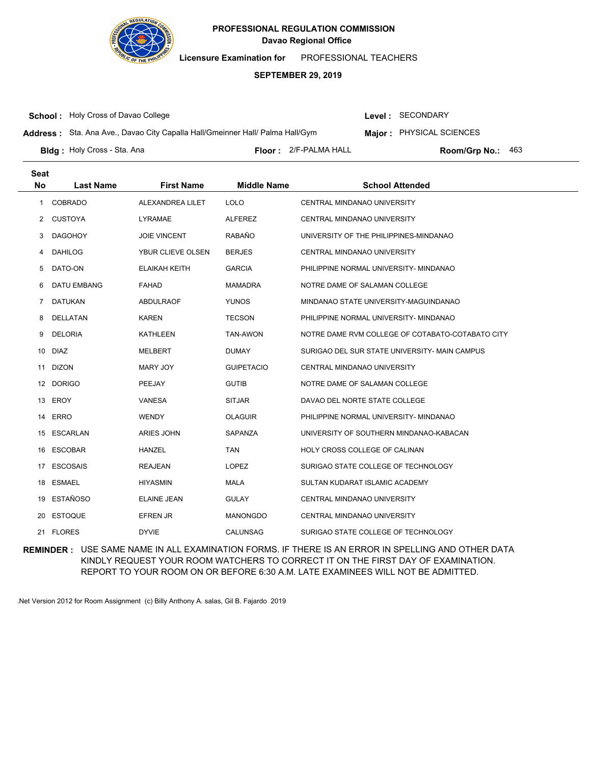

**Licensure Examination for**  PROFESSIONAL TEACHERS

### **SEPTEMBER 29, 2019**

**School :** Holy Cross of Davao College

Level : SECONDARY

**Address :** Sta. Ana Ave., Davao City Capalla Hall/Gmeinner Hall/ Palma Hall/Gym

**Major : PHYSICAL SCIENCES** 

**Bldg :** Holy Cross - Sta. Ana **Communist Communist Communist Communist Communist Ploom (Grp No.: Room/Grp No.:** Floor: 2/F-PALMA HALL Room/Grp No.: 463

| <b>Seat</b><br>No | <b>Last Name</b>   | <b>First Name</b>   | <b>Middle Name</b> | <b>School Attended</b>                           |
|-------------------|--------------------|---------------------|--------------------|--------------------------------------------------|
| $\mathbf{1}$      | <b>COBRADO</b>     | ALEXANDREA LILET    | <b>LOLO</b>        | <b>CENTRAL MINDANAO UNIVERSITY</b>               |
| 2                 | <b>CUSTOYA</b>     | <b>LYRAMAE</b>      | <b>ALFEREZ</b>     | <b>CENTRAL MINDANAO UNIVERSITY</b>               |
| 3                 | <b>DAGOHOY</b>     | <b>JOIE VINCENT</b> | <b>RABAÑO</b>      | UNIVERSITY OF THE PHILIPPINES-MINDANAO           |
| 4                 | <b>DAHILOG</b>     | YBUR CLIEVE OLSEN   | <b>BERJES</b>      | CENTRAL MINDANAO UNIVERSITY                      |
| 5                 | DATO-ON            | ELAIKAH KEITH       | <b>GARCIA</b>      | PHILIPPINE NORMAL UNIVERSITY- MINDANAO           |
| 6                 | <b>DATU EMBANG</b> | <b>FAHAD</b>        | <b>MAMADRA</b>     | NOTRE DAME OF SALAMAN COLLEGE                    |
| 7                 | <b>DATUKAN</b>     | ABDULRAOF           | <b>YUNOS</b>       | MINDANAO STATE UNIVERSITY-MAGUINDANAO            |
| 8                 | DELLATAN           | <b>KAREN</b>        | <b>TECSON</b>      | PHILIPPINE NORMAL UNIVERSITY- MINDANAO           |
| 9                 | <b>DELORIA</b>     | <b>KATHLEEN</b>     | TAN-AWON           | NOTRE DAME RVM COLLEGE OF COTABATO-COTABATO CITY |
| 10                | <b>DIAZ</b>        | MELBERT             | <b>DUMAY</b>       | SURIGAO DEL SUR STATE UNIVERSITY- MAIN CAMPUS    |
| 11                | <b>DIZON</b>       | <b>MARY JOY</b>     | <b>GUIPETACIO</b>  | CENTRAL MINDANAO UNIVERSITY                      |
|                   | 12 DORIGO          | PEEJAY              | <b>GUTIB</b>       | NOTRE DAME OF SALAMAN COLLEGE                    |
| 13                | EROY               | <b>VANESA</b>       | <b>SITJAR</b>      | DAVAO DEL NORTE STATE COLLEGE                    |
| 14                | <b>ERRO</b>        | <b>WENDY</b>        | <b>OLAGUIR</b>     | PHILIPPINE NORMAL UNIVERSITY- MINDANAO           |
| 15                | ESCARLAN           | ARIES JOHN          | SAPANZA            | UNIVERSITY OF SOUTHERN MINDANAO-KABACAN          |
|                   | 16 ESCOBAR         | <b>HANZEL</b>       | <b>TAN</b>         | HOLY CROSS COLLEGE OF CALINAN                    |
| 17                | <b>ESCOSAIS</b>    | <b>REAJEAN</b>      | <b>LOPEZ</b>       | SURIGAO STATE COLLEGE OF TECHNOLOGY              |
| 18                | ESMAEL             | <b>HIYASMIN</b>     | <b>MALA</b>        | SULTAN KUDARAT ISLAMIC ACADEMY                   |
| 19                | <b>ESTAÑOSO</b>    | <b>ELAINE JEAN</b>  | <b>GULAY</b>       | CENTRAL MINDANAO UNIVERSITY                      |
| 20                | <b>ESTOQUE</b>     | <b>EFREN JR</b>     | <b>MANONGDO</b>    | CENTRAL MINDANAO UNIVERSITY                      |
|                   | 21 FLORES          | <b>DYVIE</b>        | CALUNSAG           | SURIGAO STATE COLLEGE OF TECHNOLOGY              |

**REMINDER :** USE SAME NAME IN ALL EXAMINATION FORMS. IF THERE IS AN ERROR IN SPELLING AND OTHER DATA KINDLY REQUEST YOUR ROOM WATCHERS TO CORRECT IT ON THE FIRST DAY OF EXAMINATION. REPORT TO YOUR ROOM ON OR BEFORE 6:30 A.M. LATE EXAMINEES WILL NOT BE ADMITTED.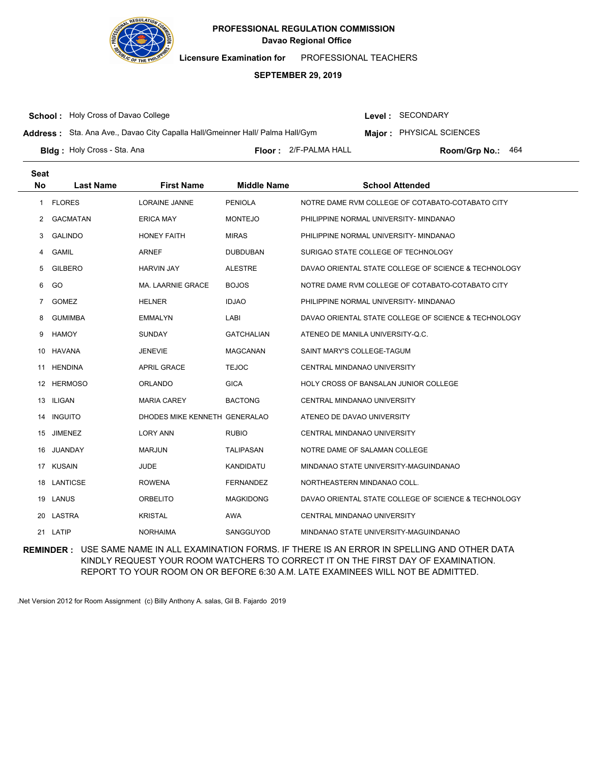

**Licensure Examination for**  PROFESSIONAL TEACHERS

### **SEPTEMBER 29, 2019**

**School :** Holy Cross of Davao College

Level : SECONDARY

**Address :** Sta. Ana Ave., Davao City Capalla Hall/Gmeinner Hall/ Palma Hall/Gym

**Major : PHYSICAL SCIENCES** 

**Bldg :** Holy Cross - Sta. Ana **Communist Communist Communist Communist Communist Ploom (Grp No.: Room/Grp No.:** 

Floor: 2/F-PALMA HALL Room/Grp No.: 464

| <b>Seat</b><br><b>No</b> | <b>Last Name</b> | <b>First Name</b>             | <b>Middle Name</b> | <b>School Attended</b>                               |
|--------------------------|------------------|-------------------------------|--------------------|------------------------------------------------------|
| $\mathbf{1}$             | <b>FLORES</b>    | <b>LORAINE JANNE</b>          | <b>PENIOLA</b>     | NOTRE DAME RVM COLLEGE OF COTABATO-COTABATO CITY     |
| 2                        | <b>GACMATAN</b>  | <b>ERICA MAY</b>              | <b>MONTEJO</b>     | PHILIPPINE NORMAL UNIVERSITY- MINDANAO               |
| 3                        | <b>GALINDO</b>   | <b>HONEY FAITH</b>            | <b>MIRAS</b>       | PHILIPPINE NORMAL UNIVERSITY- MINDANAO               |
| 4                        | <b>GAMIL</b>     | <b>ARNEF</b>                  | <b>DUBDUBAN</b>    | SURIGAO STATE COLLEGE OF TECHNOLOGY                  |
| 5                        | <b>GILBERO</b>   | <b>HARVIN JAY</b>             | <b>ALESTRE</b>     | DAVAO ORIENTAL STATE COLLEGE OF SCIENCE & TECHNOLOGY |
| 6                        | GO               | <b>MA. LAARNIE GRACE</b>      | <b>BOJOS</b>       | NOTRE DAME RVM COLLEGE OF COTABATO-COTABATO CITY     |
| $\overline{7}$           | <b>GOMEZ</b>     | <b>HELNER</b>                 | <b>IDJAO</b>       | PHILIPPINE NORMAL UNIVERSITY- MINDANAO               |
| 8                        | <b>GUMIMBA</b>   | <b>EMMALYN</b>                | LABI               | DAVAO ORIENTAL STATE COLLEGE OF SCIENCE & TECHNOLOGY |
| 9                        | <b>HAMOY</b>     | <b>SUNDAY</b>                 | <b>GATCHALIAN</b>  | ATENEO DE MANILA UNIVERSITY-Q.C.                     |
| 10                       | <b>HAVANA</b>    | <b>JENEVIE</b>                | <b>MAGCANAN</b>    | SAINT MARY'S COLLEGE-TAGUM                           |
| 11                       | <b>HENDINA</b>   | <b>APRIL GRACE</b>            | <b>TEJOC</b>       | CENTRAL MINDANAO UNIVERSITY                          |
| 12                       | <b>HERMOSO</b>   | <b>ORLANDO</b>                | <b>GICA</b>        | <b>HOLY CROSS OF BANSALAN JUNIOR COLLEGE</b>         |
| 13                       | <b>ILIGAN</b>    | <b>MARIA CAREY</b>            | <b>BACTONG</b>     | CENTRAL MINDANAO UNIVERSITY                          |
| 14                       | <b>INGUITO</b>   | DHODES MIKE KENNETH GENERALAO |                    | ATENEO DE DAVAO UNIVERSITY                           |
| 15                       | <b>JIMENEZ</b>   | <b>LORY ANN</b>               | <b>RUBIO</b>       | <b>CENTRAL MINDANAO UNIVERSITY</b>                   |
| 16                       | JUANDAY          | <b>MARJUN</b>                 | <b>TALIPASAN</b>   | NOTRE DAME OF SALAMAN COLLEGE                        |
|                          | 17 KUSAIN        | <b>JUDE</b>                   | KANDIDATU          | MINDANAO STATE UNIVERSITY-MAGUINDANAO                |
| 18                       | LANTICSE         | <b>ROWENA</b>                 | <b>FERNANDEZ</b>   | NORTHEASTERN MINDANAO COLL.                          |
|                          | 19 LANUS         | <b>ORBELITO</b>               | <b>MAGKIDONG</b>   | DAVAO ORIENTAL STATE COLLEGE OF SCIENCE & TECHNOLOGY |
|                          | 20 LASTRA        | <b>KRISTAL</b>                | AWA                | CENTRAL MINDANAO UNIVERSITY                          |
| 21                       | LATIP            | <b>NORHAIMA</b>               | SANGGUYOD          | MINDANAO STATE UNIVERSITY-MAGUINDANAO                |

**REMINDER :** USE SAME NAME IN ALL EXAMINATION FORMS. IF THERE IS AN ERROR IN SPELLING AND OTHER DATA KINDLY REQUEST YOUR ROOM WATCHERS TO CORRECT IT ON THE FIRST DAY OF EXAMINATION. REPORT TO YOUR ROOM ON OR BEFORE 6:30 A.M. LATE EXAMINEES WILL NOT BE ADMITTED.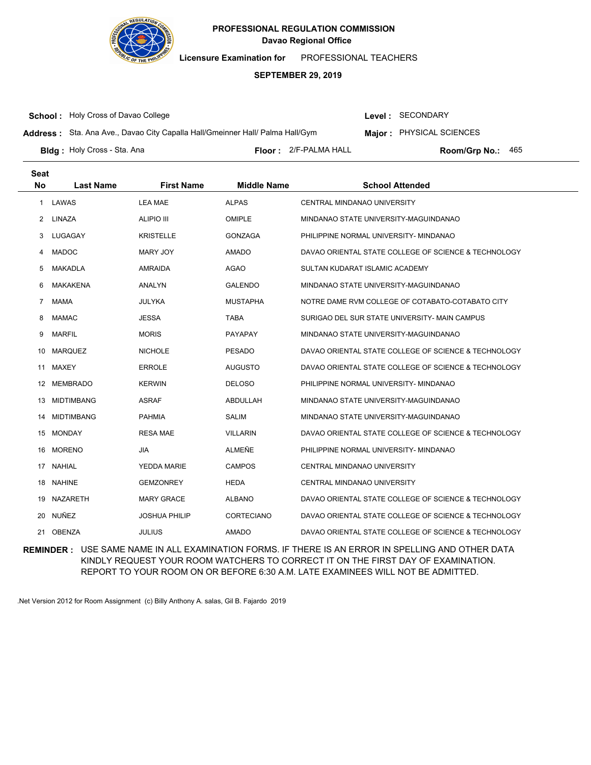

**Licensure Examination for**  PROFESSIONAL TEACHERS

### **SEPTEMBER 29, 2019**

**School :** Holy Cross of Davao College

**Seat**

Level : SECONDARY

**Address :** Sta. Ana Ave., Davao City Capalla Hall/Gmeinner Hall/ Palma Hall/Gym

**Major : PHYSICAL SCIENCES** 

**Bldg :** Holy Cross - Sta. Ana **Communist Communist Communist Communist Communist Ploom (Grp No.: Room/Grp No.:** 

Floor: 2/F-PALMA HALL Room/Grp No.: 465

| υσαι                 |                   |                      |                    |                                                      |
|----------------------|-------------------|----------------------|--------------------|------------------------------------------------------|
| <b>No</b>            | <b>Last Name</b>  | <b>First Name</b>    | <b>Middle Name</b> | <b>School Attended</b>                               |
| 1                    | LAWAS             | <b>LEA MAE</b>       | <b>ALPAS</b>       | <b>CENTRAL MINDANAO UNIVERSITY</b>                   |
| $\mathbf{2}^{\circ}$ | LINAZA            | <b>ALIPIO III</b>    | <b>OMIPLE</b>      | MINDANAO STATE UNIVERSITY-MAGUINDANAO                |
| 3                    | LUGAGAY           | <b>KRISTELLE</b>     | <b>GONZAGA</b>     | PHILIPPINE NORMAL UNIVERSITY- MINDANAO               |
| 4                    | <b>MADOC</b>      | <b>MARY JOY</b>      | <b>AMADO</b>       | DAVAO ORIENTAL STATE COLLEGE OF SCIENCE & TECHNOLOGY |
| 5                    | <b>MAKADLA</b>    | AMRAIDA              | <b>AGAO</b>        | SULTAN KUDARAT ISLAMIC ACADEMY                       |
| 6                    | <b>MAKAKENA</b>   | <b>ANALYN</b>        | <b>GALENDO</b>     | MINDANAO STATE UNIVERSITY-MAGUINDANAO                |
| 7                    | <b>MAMA</b>       | <b>JULYKA</b>        | <b>MUSTAPHA</b>    | NOTRE DAME RVM COLLEGE OF COTABATO-COTABATO CITY     |
| 8                    | <b>MAMAC</b>      | <b>JESSA</b>         | <b>TABA</b>        | SURIGAO DEL SUR STATE UNIVERSITY- MAIN CAMPUS        |
| 9                    | <b>MARFIL</b>     | <b>MORIS</b>         | <b>PAYAPAY</b>     | MINDANAO STATE UNIVERSITY-MAGUINDANAO                |
| 10                   | <b>MARQUEZ</b>    | <b>NICHOLE</b>       | <b>PESADO</b>      | DAVAO ORIENTAL STATE COLLEGE OF SCIENCE & TECHNOLOGY |
| 11                   | MAXEY             | <b>ERROLE</b>        | <b>AUGUSTO</b>     | DAVAO ORIENTAL STATE COLLEGE OF SCIENCE & TECHNOLOGY |
| 12                   | MEMBRADO          | <b>KERWIN</b>        | <b>DELOSO</b>      | PHILIPPINE NORMAL UNIVERSITY- MINDANAO               |
| 13                   | <b>MIDTIMBANG</b> | <b>ASRAF</b>         | <b>ABDULLAH</b>    | MINDANAO STATE UNIVERSITY-MAGUINDANAO                |
| 14                   | <b>MIDTIMBANG</b> | <b>PAHMIA</b>        | SALIM              | MINDANAO STATE UNIVERSITY-MAGUINDANAO                |
| 15                   | <b>MONDAY</b>     | <b>RESA MAE</b>      | <b>VILLARIN</b>    | DAVAO ORIENTAL STATE COLLEGE OF SCIENCE & TECHNOLOGY |
| 16                   | <b>MORENO</b>     | <b>JIA</b>           | ALMEÑE             | PHILIPPINE NORMAL UNIVERSITY- MINDANAO               |
| 17                   | <b>NAHIAL</b>     | YEDDA MARIE          | <b>CAMPOS</b>      | CENTRAL MINDANAO UNIVERSITY                          |
| 18.                  | <b>NAHINE</b>     | <b>GEMZONREY</b>     | <b>HEDA</b>        | <b>CENTRAL MINDANAO UNIVERSITY</b>                   |
| 19                   | <b>NAZARETH</b>   | <b>MARY GRACE</b>    | <b>ALBANO</b>      | DAVAO ORIENTAL STATE COLLEGE OF SCIENCE & TECHNOLOGY |
| 20                   | NUÑEZ             | <b>JOSHUA PHILIP</b> | CORTECIANO         | DAVAO ORIENTAL STATE COLLEGE OF SCIENCE & TECHNOLOGY |
|                      | 21 OBENZA         | <b>JULIUS</b>        | <b>AMADO</b>       | DAVAO ORIENTAL STATE COLLEGE OF SCIENCE & TECHNOLOGY |

**REMINDER :** USE SAME NAME IN ALL EXAMINATION FORMS. IF THERE IS AN ERROR IN SPELLING AND OTHER DATA KINDLY REQUEST YOUR ROOM WATCHERS TO CORRECT IT ON THE FIRST DAY OF EXAMINATION. REPORT TO YOUR ROOM ON OR BEFORE 6:30 A.M. LATE EXAMINEES WILL NOT BE ADMITTED.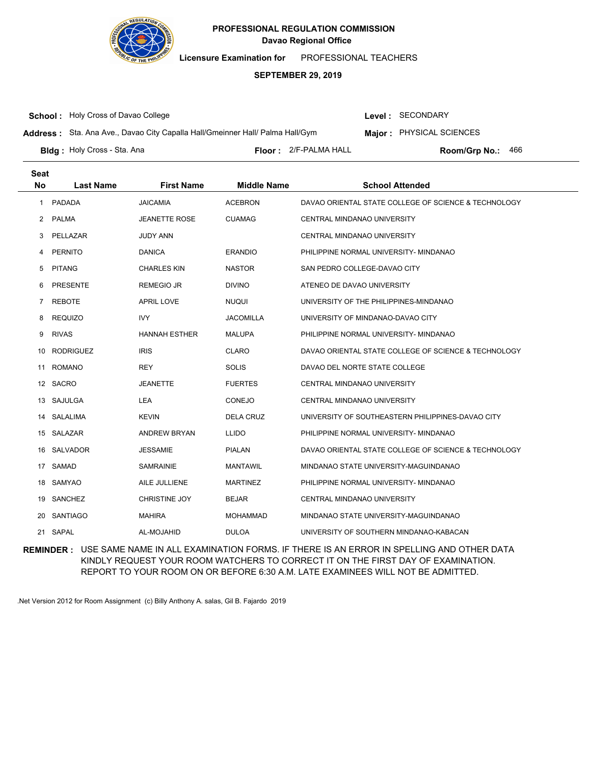

**Licensure Examination for**  PROFESSIONAL TEACHERS

### **SEPTEMBER 29, 2019**

**School :** Holy Cross of Davao College

Level : SECONDARY

**Address :** Sta. Ana Ave., Davao City Capalla Hall/Gmeinner Hall/ Palma Hall/Gym

**Major : PHYSICAL SCIENCES** 

**Bldg :** Holy Cross - Sta. Ana **Communist Communist Communist Communist Communist Ploom (Grp No.: Room/Grp No.:** 

Floor: 2/F-PALMA HALL Room/Grp No.: 466

| <b>Seat</b><br>No | <b>Last Name</b> | <b>First Name</b>    | <b>Middle Name</b> | <b>School Attended</b>                               |
|-------------------|------------------|----------------------|--------------------|------------------------------------------------------|
| $\mathbf{1}$      | PADADA           | <b>JAICAMIA</b>      | <b>ACEBRON</b>     | DAVAO ORIENTAL STATE COLLEGE OF SCIENCE & TECHNOLOGY |
| $\overline{2}$    | <b>PALMA</b>     | <b>JEANETTE ROSE</b> | <b>CUAMAG</b>      | CENTRAL MINDANAO UNIVERSITY                          |
| 3                 | PELLAZAR         | <b>JUDY ANN</b>      |                    | CENTRAL MINDANAO UNIVERSITY                          |
| 4                 | PERNITO          | <b>DANICA</b>        | <b>ERANDIO</b>     | PHILIPPINE NORMAL UNIVERSITY- MINDANAO               |
| 5                 | <b>PITANG</b>    | <b>CHARLES KIN</b>   | <b>NASTOR</b>      | SAN PEDRO COLLEGE-DAVAO CITY                         |
| 6                 | <b>PRESENTE</b>  | <b>REMEGIO JR</b>    | <b>DIVINO</b>      | ATENEO DE DAVAO UNIVERSITY                           |
| 7                 | <b>REBOTE</b>    | <b>APRIL LOVE</b>    | <b>NUQUI</b>       | UNIVERSITY OF THE PHILIPPINES-MINDANAO               |
| 8                 | <b>REQUIZO</b>   | <b>IVY</b>           | <b>JACOMILLA</b>   | UNIVERSITY OF MINDANAO-DAVAO CITY                    |
| 9                 | <b>RIVAS</b>     | <b>HANNAH ESTHER</b> | <b>MALUPA</b>      | PHILIPPINE NORMAL UNIVERSITY- MINDANAO               |
| 10                | <b>RODRIGUEZ</b> | <b>IRIS</b>          | <b>CLARO</b>       | DAVAO ORIENTAL STATE COLLEGE OF SCIENCE & TECHNOLOGY |
| 11                | <b>ROMANO</b>    | <b>REY</b>           | <b>SOLIS</b>       | DAVAO DEL NORTE STATE COLLEGE                        |
| 12                | SACRO            | <b>JEANETTE</b>      | <b>FUERTES</b>     | CENTRAL MINDANAO UNIVERSITY                          |
| 13                | SAJULGA          | LEA                  | <b>CONEJO</b>      | CENTRAL MINDANAO UNIVERSITY                          |
| 14                | SALALIMA         | <b>KEVIN</b>         | <b>DELA CRUZ</b>   | UNIVERSITY OF SOUTHEASTERN PHILIPPINES-DAVAO CITY    |
| 15                | SALAZAR          | <b>ANDREW BRYAN</b>  | <b>LLIDO</b>       | PHILIPPINE NORMAL UNIVERSITY- MINDANAO               |
| 16                | SALVADOR         | <b>JESSAMIE</b>      | <b>PIALAN</b>      | DAVAO ORIENTAL STATE COLLEGE OF SCIENCE & TECHNOLOGY |
| 17                | SAMAD            | <b>SAMRAINIE</b>     | <b>MANTAWIL</b>    | MINDANAO STATE UNIVERSITY-MAGUINDANAO                |
| 18                | <b>SAMYAO</b>    | AILE JULLIENE        | <b>MARTINEZ</b>    | PHILIPPINE NORMAL UNIVERSITY- MINDANAO               |
| 19                | <b>SANCHEZ</b>   | <b>CHRISTINE JOY</b> | <b>BEJAR</b>       | CENTRAL MINDANAO UNIVERSITY                          |
| 20                | <b>SANTIAGO</b>  | <b>MAHIRA</b>        | <b>MOHAMMAD</b>    | MINDANAO STATE UNIVERSITY-MAGUINDANAO                |
| 21                | SAPAL            | AL-MOJAHID           | <b>DULOA</b>       | UNIVERSITY OF SOUTHERN MINDANAO-KABACAN              |

**REMINDER :** USE SAME NAME IN ALL EXAMINATION FORMS. IF THERE IS AN ERROR IN SPELLING AND OTHER DATA KINDLY REQUEST YOUR ROOM WATCHERS TO CORRECT IT ON THE FIRST DAY OF EXAMINATION. REPORT TO YOUR ROOM ON OR BEFORE 6:30 A.M. LATE EXAMINEES WILL NOT BE ADMITTED.